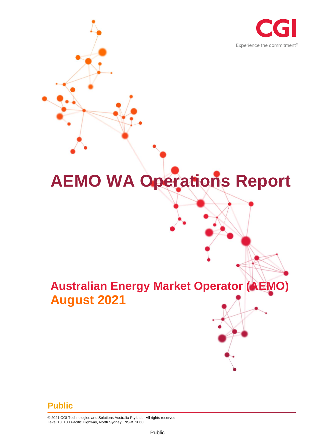

# **AEMO WA Operations Report**

# **Australian Energy Market Operator (AEMO) August 2021**

#### **Public**

© 2021 CGI Technologies and Solutions Australia Pty Ltd.– All rights reserved Level 13, 100 Pacific Highway, North Sydney. NSW 2060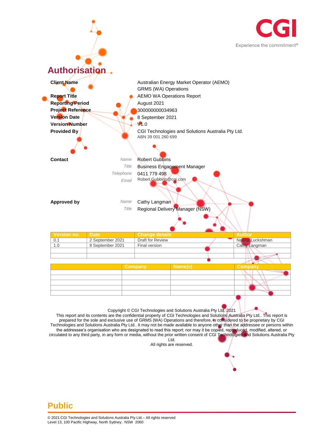



This report and its contents are the confidential property of CGI Technologies and Solutions Australia Pty Ltd.. This report is prepared for the sole and exclusive use of GRMS (WA) Operations and therefore, is considered to be proprietary by CGI Technologies and Solutions Australia Pty Ltd.. It may not be made available to anyone other than the addressee or persons within the addressee's organisation who are designated to read this report; nor may it be copied, reproduced, modified, altered, or circulated to any third party, in any form or media, without the prior written consent of CGI Technologies and Solutions Australia Pty Ltd.

All rights are reserved.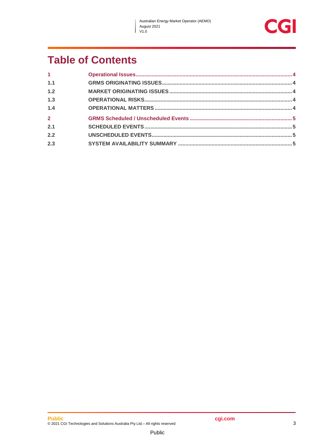$\overline{\phantom{a}}$ 



## **Table of Contents**

| $\mathbf{1}$   |  |
|----------------|--|
| 1.1            |  |
| 1.2            |  |
| 1.3            |  |
| 1.4            |  |
| $\overline{2}$ |  |
| 2.1            |  |
| 2.2            |  |
| 2.3            |  |
|                |  |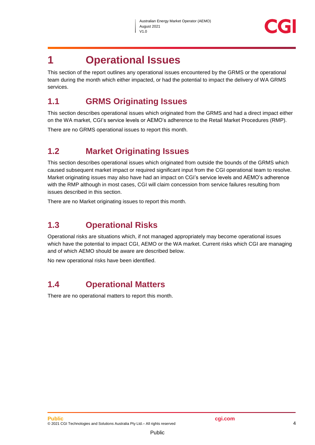

### <span id="page-3-0"></span>**1 Operational Issues**

This section of the report outlines any operational issues encountered by the GRMS or the operational team during the month which either impacted, or had the potential to impact the delivery of WA GRMS services.

#### <span id="page-3-1"></span>**1.1 GRMS Originating Issues**

This section describes operational issues which originated from the GRMS and had a direct impact either on the WA market, CGI's service levels or AEMO's adherence to the Retail Market Procedures (RMP).

There are no GRMS operational issues to report this month.

#### <span id="page-3-2"></span>**1.2 Market Originating Issues**

This section describes operational issues which originated from outside the bounds of the GRMS which caused subsequent market impact or required significant input from the CGI operational team to resolve. Market originating issues may also have had an impact on CGI's service levels and AEMO's adherence with the RMP although in most cases, CGI will claim concession from service failures resulting from issues described in this section.

There are no Market originating issues to report this month.

#### <span id="page-3-3"></span>**1.3 Operational Risks**

Operational risks are situations which, if not managed appropriately may become operational issues which have the potential to impact CGI, AEMO or the WA market. Current risks which CGI are managing and of which AEMO should be aware are described below.

No new operational risks have been identified.

#### <span id="page-3-4"></span>**1.4 Operational Matters**

There are no operational matters to report this month.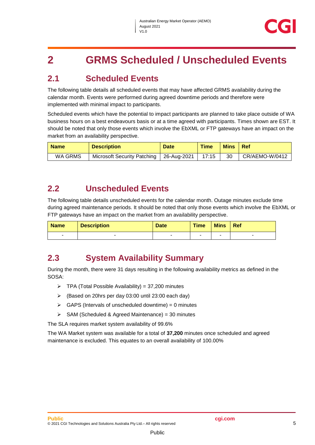## <span id="page-4-0"></span>**2 GRMS Scheduled / Unscheduled Events**

#### <span id="page-4-1"></span>**2.1 Scheduled Events**

The following table details all scheduled events that may have affected GRMS availability during the calendar month. Events were performed during agreed downtime periods and therefore were implemented with minimal impact to participants.

Scheduled events which have the potential to impact participants are planned to take place outside of WA business hours on a best endeavours basis or at a time agreed with participants. Times shown are EST. It should be noted that only those events which involve the EbXML or FTP gateways have an impact on the market from an availability perspective.

| <b>Name</b> | <b>Description</b>                        | <b>Date</b> | <b>Time</b> | <b>Mins</b> | l Ref          |
|-------------|-------------------------------------------|-------------|-------------|-------------|----------------|
| WA GRMS     | Microsoft Security Patching   26-Aug-2021 |             | 17:15       | 30          | CR/AEMO-W/0412 |

#### <span id="page-4-2"></span>**2.2 Unscheduled Events**

The following table details unscheduled events for the calendar month. Outage minutes exclude time during agreed maintenance periods. It should be noted that only those events which involve the EbXML or FTP gateways have an impact on the market from an availability perspective.

| <b>Name</b> | <b>Description</b> | <b>Date</b> | <b>Time</b> | <b>Mins</b> | Ref |
|-------------|--------------------|-------------|-------------|-------------|-----|
| -           |                    |             |             |             | -   |

#### <span id="page-4-3"></span>**2.3 System Availability Summary**

During the month, there were 31 days resulting in the following availability metrics as defined in the SOSA:

- $\triangleright$  TPA (Total Possible Availability) = 37,200 minutes
- (Based on 20hrs per day 03:00 until 23:00 each day)
- $\triangleright$  GAPS (Intervals of unscheduled downtime) = 0 minutes
- $\triangleright$  SAM (Scheduled & Agreed Maintenance) = 30 minutes

The SLA requires market system availability of 99.6%

The WA Market system was available for a total of **37,200** minutes once scheduled and agreed maintenance is excluded. This equates to an overall availability of 100.00%